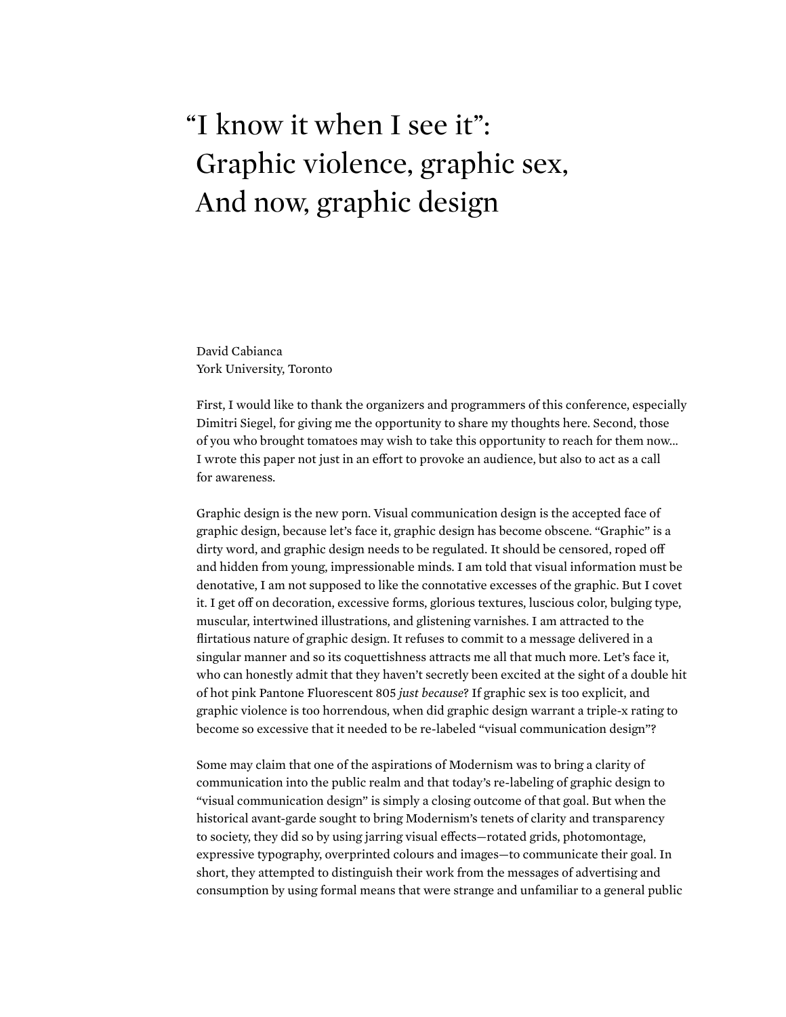## "I know it when I see it": Graphic violence, graphic sex, And now, graphic design

David Cabianca York University, Toronto

First, I would like to thank the organizers and programmers of this conference, especially Dimitri Siegel, for giving me the opportunity to share my thoughts here. Second, those of you who brought tomatoes may wish to take this opportunity to reach for them now... I wrote this paper not just in an effort to provoke an audience, but also to act as a call for awareness.

Graphic design is the new porn. Visual communication design is the accepted face of graphic design, because let's face it, graphic design has become obscene. "Graphic" is a dirty word, and graphic design needs to be regulated. It should be censored, roped off and hidden from young, impressionable minds. I am told that visual information must be denotative, I am not supposed to like the connotative excesses of the graphic. But I covet it. I get off on decoration, excessive forms, glorious textures, luscious color, bulging type, muscular, intertwined illustrations, and glistening varnishes. I am attracted to the flirtatious nature of graphic design. It refuses to commit to a message delivered in a singular manner and so its coquettishness attracts me all that much more. Let's face it, who can honestly admit that they haven't secretly been excited at the sight of a double hit of hot pink Pantone Fluorescent 805 *just because*? If graphic sex is too explicit, and graphic violence is too horrendous, when did graphic design warrant a triple-x rating to become so excessive that it needed to be re-labeled "visual communication design"?

Some may claim that one of the aspirations of Modernism was to bring a clarity of communication into the public realm and that today's re-labeling of graphic design to "visual communication design" is simply a closing outcome of that goal. But when the historical avant-garde sought to bring Modernism's tenets of clarity and transparency to society, they did so by using jarring visual effects—rotated grids, photomontage, expressive typography, overprinted colours and images—to communicate their goal. In short, they attempted to distinguish their work from the messages of advertising and consumption by using formal means that were strange and unfamiliar to a general public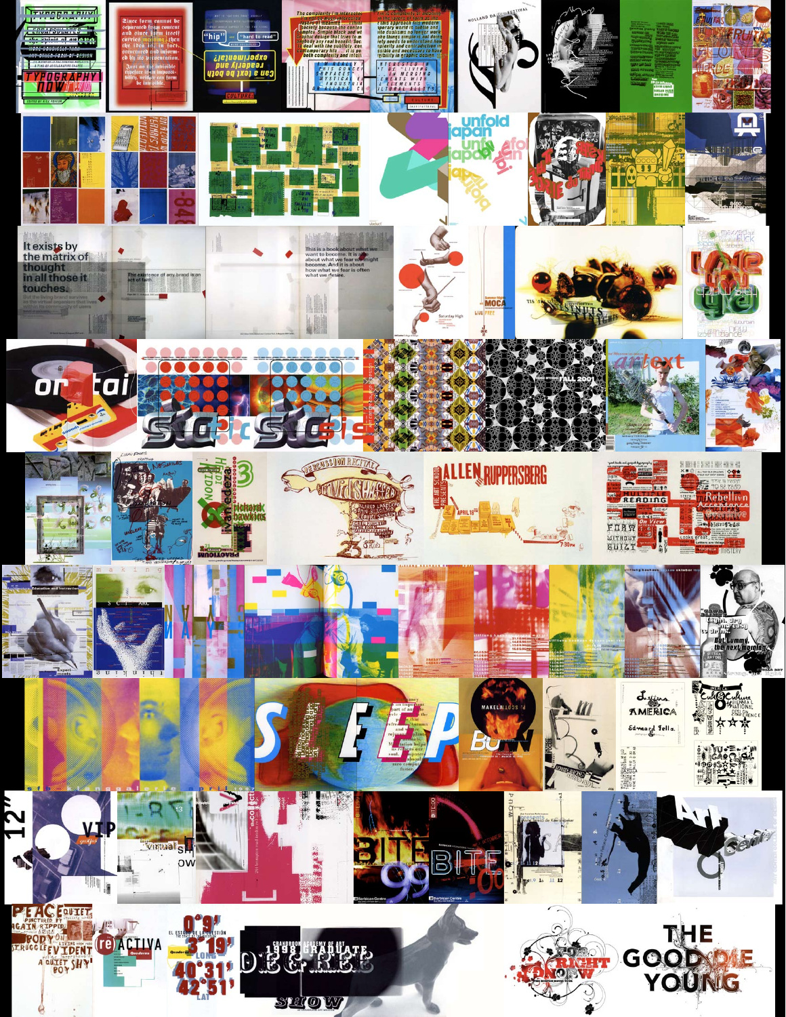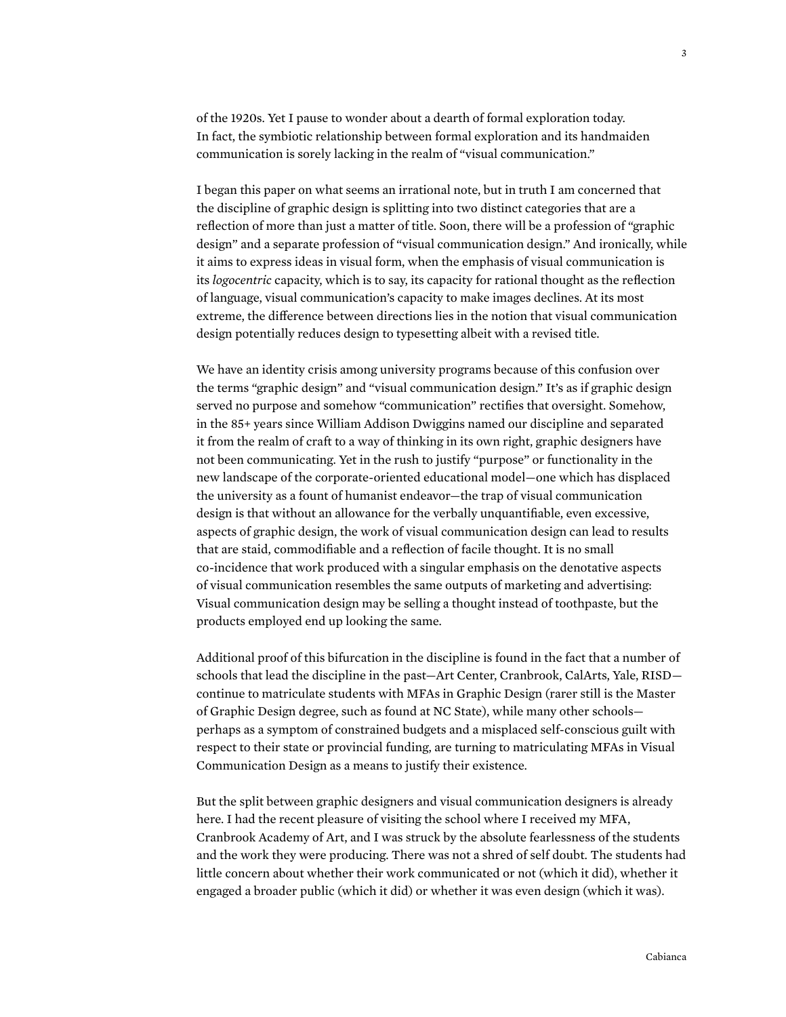of the 1920s. Yet I pause to wonder about a dearth of formal exploration today. In fact, the symbiotic relationship between formal exploration and its handmaiden communication is sorely lacking in the realm of "visual communication."

I began this paper on what seems an irrational note, but in truth I am concerned that the discipline of graphic design is splitting into two distinct categories that are a reflection of more than just a matter of title. Soon, there will be a profession of "graphic design" and a separate profession of "visual communication design." And ironically, while it aims to express ideas in visual form, when the emphasis of visual communication is its *logocentric* capacity, which is to say, its capacity for rational thought as the reflection of language, visual communication's capacity to make images declines. At its most extreme, the difference between directions lies in the notion that visual communication design potentially reduces design to typesetting albeit with a revised title.

We have an identity crisis among university programs because of this confusion over the terms "graphic design" and "visual communication design." It's as if graphic design served no purpose and somehow "communication" rectifies that oversight. Somehow, in the 85+ years since William Addison Dwiggins named our discipline and separated it from the realm of craft to a way of thinking in its own right, graphic designers have not been communicating. Yet in the rush to justify "purpose" or functionality in the new landscape of the corporate-oriented educational model—one which has displaced the university as a fount of humanist endeavor—the trap of visual communication design is that without an allowance for the verbally unquantifiable, even excessive, aspects of graphic design, the work of visual communication design can lead to results that are staid, commodifiable and a reflection of facile thought. It is no small co-incidence that work produced with a singular emphasis on the denotative aspects of visual communication resembles the same outputs of marketing and advertising: Visual communication design may be selling a thought instead of toothpaste, but the products employed end up looking the same.

Additional proof of this bifurcation in the discipline is found in the fact that a number of schools that lead the discipline in the past—Art Center, Cranbrook, CalArts, Yale, RISD continue to matriculate students with MFAs in Graphic Design (rarer still is the Master of Graphic Design degree, such as found at NC State), while many other schools perhaps as a symptom of constrained budgets and a misplaced self-conscious guilt with respect to their state or provincial funding, are turning to matriculating MFAs in Visual Communication Design as a means to justify their existence.

But the split between graphic designers and visual communication designers is already here. I had the recent pleasure of visiting the school where I received my MFA, Cranbrook Academy of Art, and I was struck by the absolute fearlessness of the students and the work they were producing. There was not a shred of self doubt. The students had little concern about whether their work communicated or not (which it did), whether it engaged a broader public (which it did) or whether it was even design (which it was).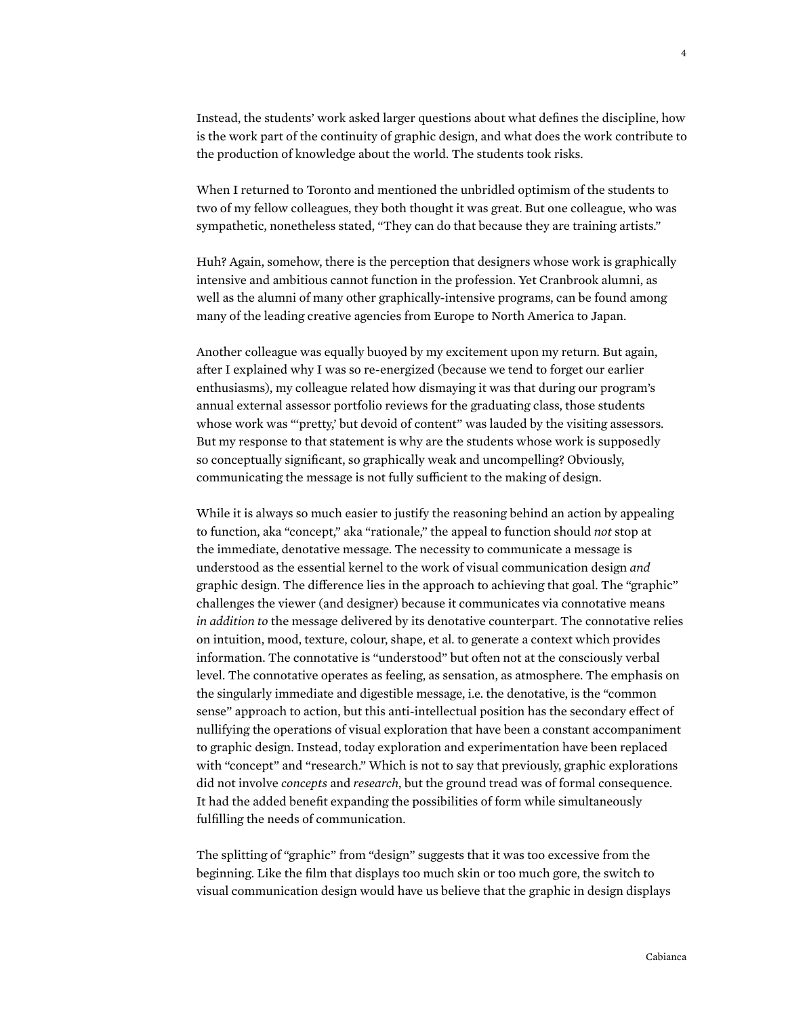Instead, the students' work asked larger questions about what defines the discipline, how is the work part of the continuity of graphic design, and what does the work contribute to the production of knowledge about the world. The students took risks.

When I returned to Toronto and mentioned the unbridled optimism of the students to two of my fellow colleagues, they both thought it was great. But one colleague, who was sympathetic, nonetheless stated, "They can do that because they are training artists."

Huh? Again, somehow, there is the perception that designers whose work is graphically intensive and ambitious cannot function in the profession. Yet Cranbrook alumni, as well as the alumni of many other graphically-intensive programs, can be found among many of the leading creative agencies from Europe to North America to Japan.

Another colleague was equally buoyed by my excitement upon my return. But again, after I explained why I was so re-energized (because we tend to forget our earlier enthusiasms), my colleague related how dismaying it was that during our program's annual external assessor portfolio reviews for the graduating class, those students whose work was "'pretty,' but devoid of content" was lauded by the visiting assessors. But my response to that statement is why are the students whose work is supposedly so conceptually significant, so graphically weak and uncompelling? Obviously, communicating the message is not fully sufficient to the making of design.

While it is always so much easier to justify the reasoning behind an action by appealing to function, aka "concept," aka "rationale," the appeal to function should *not* stop at the immediate, denotative message. The necessity to communicate a message is understood as the essential kernel to the work of visual communication design *and* graphic design. The difference lies in the approach to achieving that goal. The "graphic" challenges the viewer (and designer) because it communicates via connotative means *in addition to* the message delivered by its denotative counterpart. The connotative relies on intuition, mood, texture, colour, shape, et al. to generate a context which provides information. The connotative is "understood" but often not at the consciously verbal level. The connotative operates as feeling, as sensation, as atmosphere. The emphasis on the singularly immediate and digestible message, i.e. the denotative, is the "common sense" approach to action, but this anti-intellectual position has the secondary effect of nullifying the operations of visual exploration that have been a constant accompaniment to graphic design. Instead, today exploration and experimentation have been replaced with "concept" and "research." Which is not to say that previously, graphic explorations did not involve *concepts* and *research*, but the ground tread was of formal consequence. It had the added benefit expanding the possibilities of form while simultaneously fulfilling the needs of communication.

The splitting of "graphic" from "design" suggests that it was too excessive from the beginning. Like the film that displays too much skin or too much gore, the switch to visual communication design would have us believe that the graphic in design displays